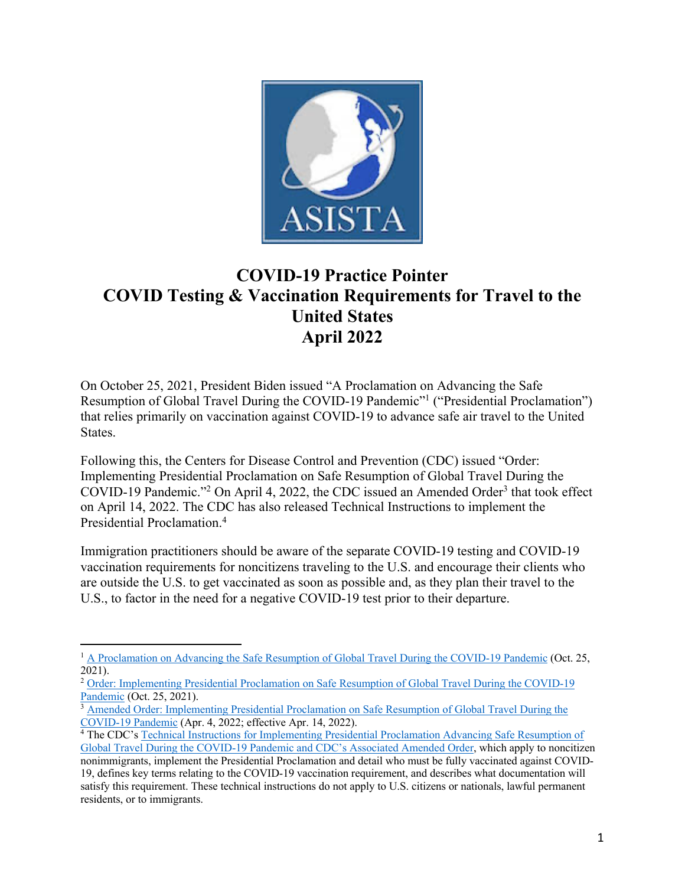

# **COVID-19 Practice Pointer COVID Testing & Vaccination Requirements for Travel to the United States April 2022**

On October 25, 2021, President Biden issued "A Proclamation on Advancing the Safe Resumption of Global Travel During the COVID-19 Pandemic"<sup>1</sup> ("Presidential Proclamation") that relies primarily on vaccination against COVID-19 to advance safe air travel to the United States.

Following this, the Centers for Disease Control and Prevention (CDC) issued "Order: Implementing Presidential Proclamation on Safe Resumption of Global Travel During the COVID-19 Pandemic."<sup>2</sup> On April 4, 2022, the CDC issued an Amended Order<sup>3</sup> that took effect on April 14, 2022. The CDC has also released Technical Instructions to implement the Presidential Proclamation.4

Immigration practitioners should be aware of the separate COVID-19 testing and COVID-19 vaccination requirements for noncitizens traveling to the U.S. and encourage their clients who are outside the U.S. to get vaccinated as soon as possible and, as they plan their travel to the U.S., to factor in the need for a negative COVID-19 test prior to their departure.

<sup>&</sup>lt;sup>1</sup> A Proclamation on Advancing the Safe Resumption of Global Travel During the COVID-19 Pandemic (Oct. 25, 2021).

<sup>&</sup>lt;sup>2</sup> Order: Implementing Presidential Proclamation on Safe Resumption of Global Travel During the COVID-19 Pandemic (Oct. 25, 2021).

<sup>&</sup>lt;sup>3</sup> Amended Order: Implementing Presidential Proclamation on Safe Resumption of Global Travel During the COVID-19 Pandemic (Apr. 4, 2022; effective Apr. 14, 2022). 4 The CDC's Technical Instructions for Implementing Presidential Proclamation Advancing Safe Resumption of

Global Travel During the COVID-19 Pandemic and CDC's Associated Amended Order, which apply to noncitizen nonimmigrants, implement the Presidential Proclamation and detail who must be fully vaccinated against COVID-19, defines key terms relating to the COVID-19 vaccination requirement, and describes what documentation will satisfy this requirement. These technical instructions do not apply to U.S. citizens or nationals, lawful permanent residents, or to immigrants.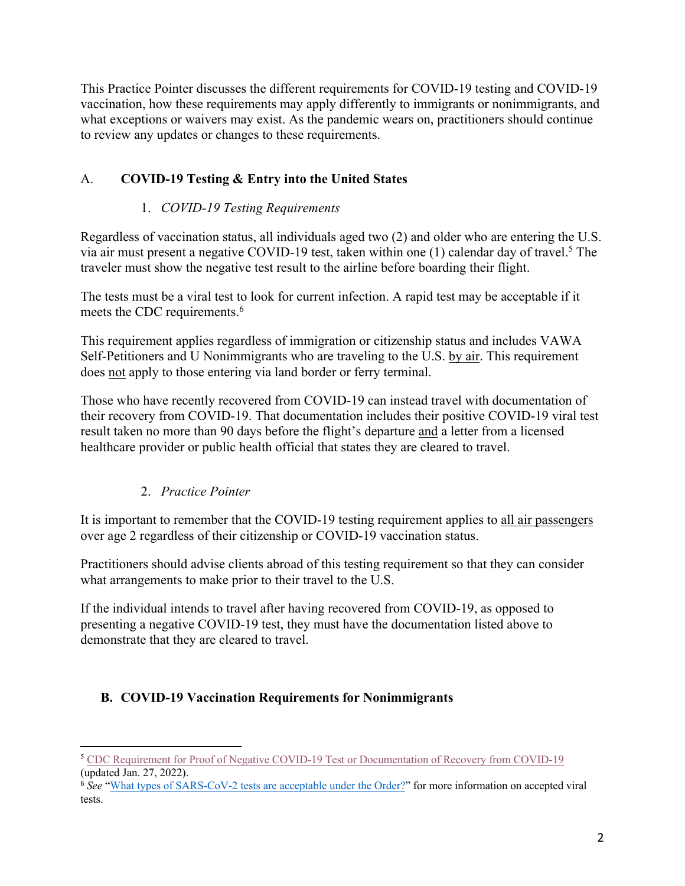This Practice Pointer discusses the different requirements for COVID-19 testing and COVID-19 vaccination, how these requirements may apply differently to immigrants or nonimmigrants, and what exceptions or waivers may exist. As the pandemic wears on, practitioners should continue to review any updates or changes to these requirements.

### A. **COVID-19 Testing & Entry into the United States**

#### 1. *COVID-19 Testing Requirements*

Regardless of vaccination status, all individuals aged two (2) and older who are entering the U.S. via air must present a negative COVID-19 test, taken within one  $(1)$  calendar day of travel.<sup>5</sup> The traveler must show the negative test result to the airline before boarding their flight.

The tests must be a viral test to look for current infection. A rapid test may be acceptable if it meets the CDC requirements.<sup>6</sup>

This requirement applies regardless of immigration or citizenship status and includes VAWA Self-Petitioners and U Nonimmigrants who are traveling to the U.S. by air. This requirement does not apply to those entering via land border or ferry terminal.

Those who have recently recovered from COVID-19 can instead travel with documentation of their recovery from COVID-19. That documentation includes their positive COVID-19 viral test result taken no more than 90 days before the flight's departure and a letter from a licensed healthcare provider or public health official that states they are cleared to travel.

#### 2. *Practice Pointer*

It is important to remember that the COVID-19 testing requirement applies to all air passengers over age 2 regardless of their citizenship or COVID-19 vaccination status.

Practitioners should advise clients abroad of this testing requirement so that they can consider what arrangements to make prior to their travel to the U.S.

If the individual intends to travel after having recovered from COVID-19, as opposed to presenting a negative COVID-19 test, they must have the documentation listed above to demonstrate that they are cleared to travel.

#### **B. COVID-19 Vaccination Requirements for Nonimmigrants**

<sup>&</sup>lt;sup>5</sup> CDC Requirement for Proof of Negative COVID-19 Test or Documentation of Recovery from COVID-19 (updated Jan. 27, 2022).

<sup>&</sup>lt;sup>6</sup> See "What types of SARS-CoV-2 tests are acceptable under the Order?" for more information on accepted viral tests.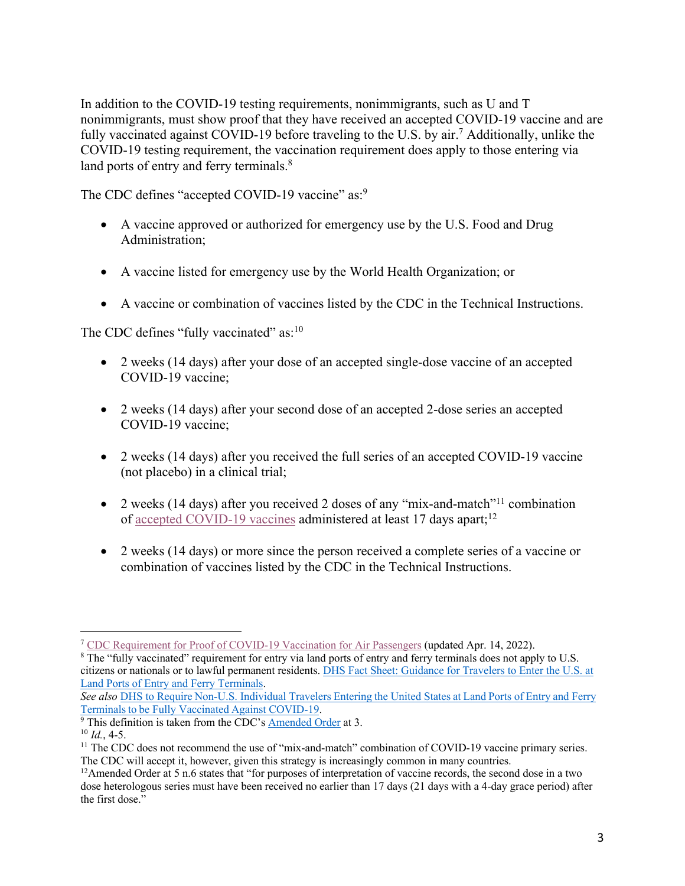In addition to the COVID-19 testing requirements, nonimmigrants, such as U and T nonimmigrants, must show proof that they have received an accepted COVID-19 vaccine and are fully vaccinated against COVID-19 before traveling to the U.S. by air.<sup>7</sup> Additionally, unlike the COVID-19 testing requirement, the vaccination requirement does apply to those entering via land ports of entry and ferry terminals.<sup>8</sup>

The CDC defines "accepted COVID-19 vaccine" as:<sup>9</sup>

- A vaccine approved or authorized for emergency use by the U.S. Food and Drug Administration;
- A vaccine listed for emergency use by the World Health Organization; or
- A vaccine or combination of vaccines listed by the CDC in the Technical Instructions.

The CDC defines "fully vaccinated" as:<sup>10</sup>

- 2 weeks (14 days) after your dose of an accepted single-dose vaccine of an accepted COVID-19 vaccine;
- 2 weeks (14 days) after your second dose of an accepted 2-dose series an accepted COVID-19 vaccine;
- 2 weeks (14 days) after you received the full series of an accepted COVID-19 vaccine (not placebo) in a clinical trial;
- 2 weeks (14 days) after you received 2 doses of any "mix-and-match"<sup>11</sup> combination of accepted COVID-19 vaccines administered at least 17 days apart;<sup>12</sup>
- 2 weeks (14 days) or more since the person received a complete series of a vaccine or combination of vaccines listed by the CDC in the Technical Instructions.

<sup>7</sup> CDC Requirement for Proof of COVID-19 Vaccination for Air Passengers (updated Apr. 14, 2022).

<sup>&</sup>lt;sup>8</sup> The "fully vaccinated" requirement for entry via land ports of entry and ferry terminals does not apply to U.S. citizens or nationals or to lawful permanent residents. DHS Fact Sheet: Guidance for Travelers to Enter the U.S. at Land Ports of Entry and Ferry Terminals.

*See also* DHS to Require Non-U.S. Individual Travelers Entering the United States at Land Ports of Entry and Ferry Terminals to be Fully Vaccinated Against COVID-19.

 $\frac{1}{9}$  This definition is taken from the CDC's  $\frac{\text{Amented Order}}{\text{Afield}}$  at 3.

 $^{10}$  *Id.*, 4-5.

<sup>&</sup>lt;sup>11</sup> The CDC does not recommend the use of "mix-and-match" combination of COVID-19 vaccine primary series. The CDC will accept it, however, given this strategy is increasingly common in many countries.

 $12$ Amended Order at 5 n.6 states that "for purposes of interpretation of vaccine records, the second dose in a two dose heterologous series must have been received no earlier than 17 days (21 days with a 4-day grace period) after the first dose."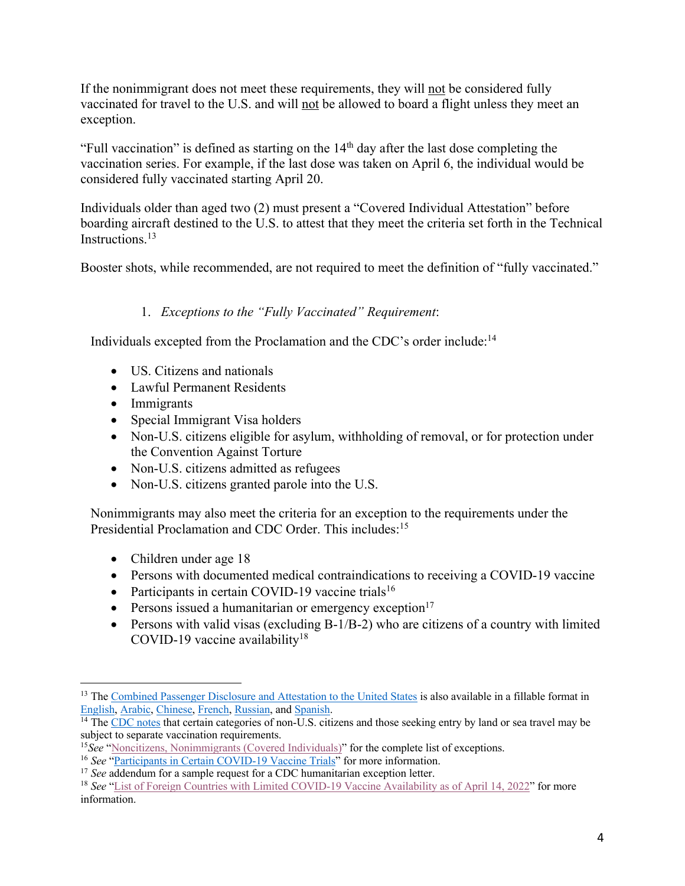If the nonimmigrant does not meet these requirements, they will not be considered fully vaccinated for travel to the U.S. and will not be allowed to board a flight unless they meet an exception.

"Full vaccination" is defined as starting on the  $14<sup>th</sup>$  day after the last dose completing the vaccination series. For example, if the last dose was taken on April 6, the individual would be considered fully vaccinated starting April 20.

Individuals older than aged two (2) must present a "Covered Individual Attestation" before boarding aircraft destined to the U.S. to attest that they meet the criteria set forth in the Technical Instructions.<sup>13</sup>

Booster shots, while recommended, are not required to meet the definition of "fully vaccinated."

#### 1. *Exceptions to the "Fully Vaccinated" Requirement*:

Individuals excepted from the Proclamation and the CDC's order include:14

- US. Citizens and nationals
- Lawful Permanent Residents
- Immigrants
- Special Immigrant Visa holders
- Non-U.S. citizens eligible for asylum, withholding of removal, or for protection under the Convention Against Torture
- Non-U.S. citizens admitted as refugees
- Non-U.S. citizens granted parole into the U.S.

Nonimmigrants may also meet the criteria for an exception to the requirements under the Presidential Proclamation and CDC Order. This includes:<sup>15</sup>

- Children under age 18
- Persons with documented medical contraindications to receiving a COVID-19 vaccine
- Participants in certain COVID-19 vaccine trials<sup>16</sup>
- Persons issued a humanitarian or emergency exception $17$
- Persons with valid visas (excluding B-1/B-2) who are citizens of a country with limited COVID-19 vaccine availability<sup>18</sup>

<sup>&</sup>lt;sup>13</sup> The Combined Passenger Disclosure and Attestation to the United States is also available in a fillable format in English, Arabic, Chinese, French, Russian, and Spanish.

 $<sup>14</sup>$  The CDC notes that certain categories of non-U.S. citizens and those seeking entry by land or sea travel may be</sup> subject to separate vaccination requirements.

<sup>15</sup>*See* "Noncitizens, Nonimmigrants (Covered Individuals)" for the complete list of exceptions. 16 *See* "Participants in Certain COVID-19 Vaccine Trials" for more information.

<sup>&</sup>lt;sup>17</sup> *See* addendum for a sample request for a CDC humanitarian exception letter.

<sup>&</sup>lt;sup>18</sup> See "List of Foreign Countries with Limited COVID-19 Vaccine Availability as of April 14, 2022" for more information.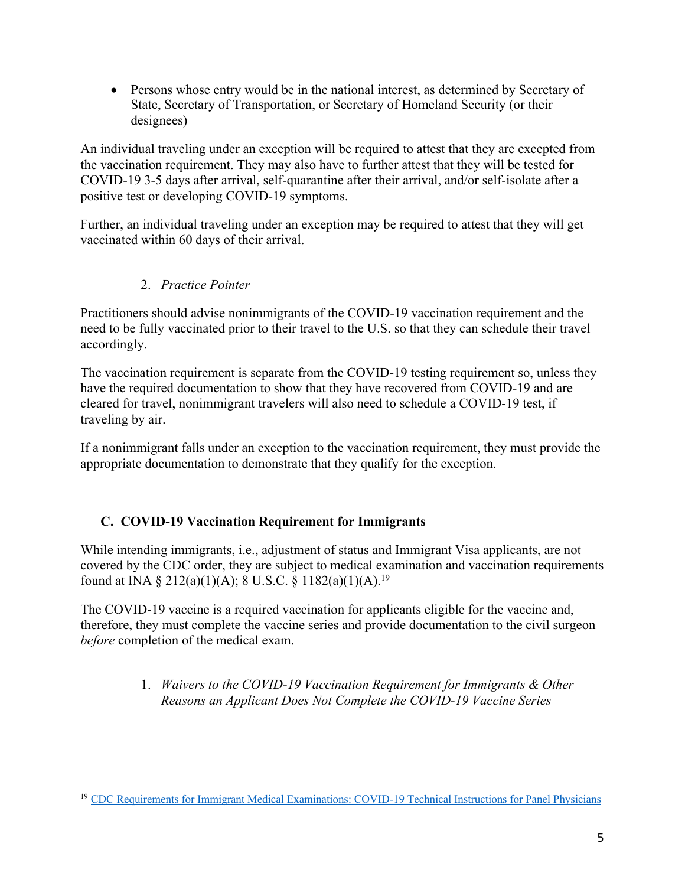• Persons whose entry would be in the national interest, as determined by Secretary of State, Secretary of Transportation, or Secretary of Homeland Security (or their designees)

An individual traveling under an exception will be required to attest that they are excepted from the vaccination requirement. They may also have to further attest that they will be tested for COVID-19 3-5 days after arrival, self-quarantine after their arrival, and/or self-isolate after a positive test or developing COVID-19 symptoms.

Further, an individual traveling under an exception may be required to attest that they will get vaccinated within 60 days of their arrival.

#### 2. *Practice Pointer*

Practitioners should advise nonimmigrants of the COVID-19 vaccination requirement and the need to be fully vaccinated prior to their travel to the U.S. so that they can schedule their travel accordingly.

The vaccination requirement is separate from the COVID-19 testing requirement so, unless they have the required documentation to show that they have recovered from COVID-19 and are cleared for travel, nonimmigrant travelers will also need to schedule a COVID-19 test, if traveling by air.

If a nonimmigrant falls under an exception to the vaccination requirement, they must provide the appropriate documentation to demonstrate that they qualify for the exception.

#### **C. COVID-19 Vaccination Requirement for Immigrants**

While intending immigrants, i.e., adjustment of status and Immigrant Visa applicants, are not covered by the CDC order, they are subject to medical examination and vaccination requirements found at INA § 212(a)(1)(A); 8 U.S.C. § 1182(a)(1)(A).<sup>19</sup>

The COVID-19 vaccine is a required vaccination for applicants eligible for the vaccine and, therefore, they must complete the vaccine series and provide documentation to the civil surgeon *before* completion of the medical exam.

> 1. *Waivers to the COVID-19 Vaccination Requirement for Immigrants & Other Reasons an Applicant Does Not Complete the COVID-19 Vaccine Series*

<sup>19</sup> CDC Requirements for Immigrant Medical Examinations: COVID-19 Technical Instructions for Panel Physicians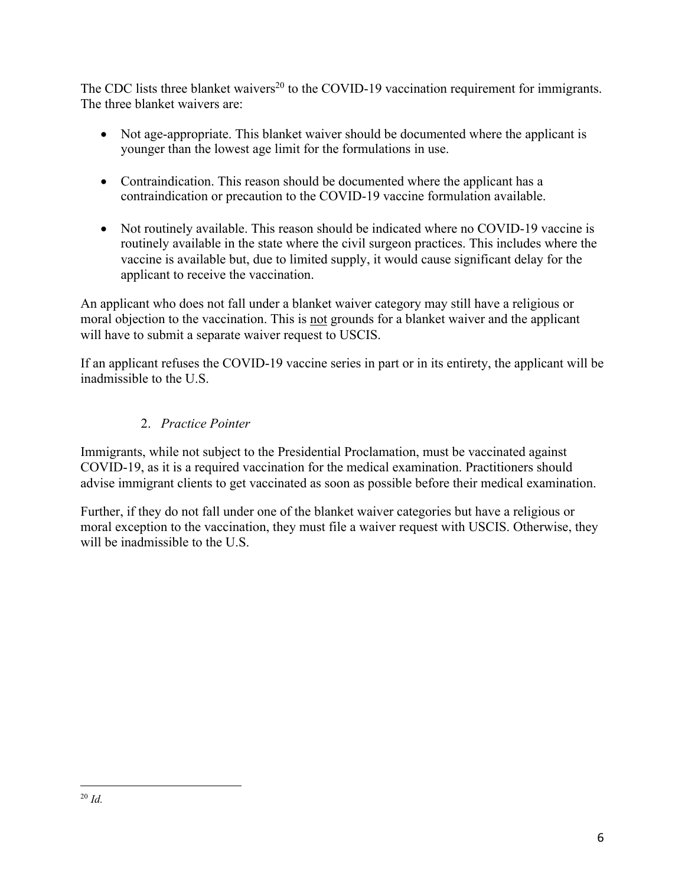The CDC lists three blanket waivers<sup>20</sup> to the COVID-19 vaccination requirement for immigrants. The three blanket waivers are:

- Not age-appropriate. This blanket waiver should be documented where the applicant is younger than the lowest age limit for the formulations in use.
- Contraindication. This reason should be documented where the applicant has a contraindication or precaution to the COVID-19 vaccine formulation available.
- Not routinely available. This reason should be indicated where no COVID-19 vaccine is routinely available in the state where the civil surgeon practices. This includes where the vaccine is available but, due to limited supply, it would cause significant delay for the applicant to receive the vaccination.

An applicant who does not fall under a blanket waiver category may still have a religious or moral objection to the vaccination. This is not grounds for a blanket waiver and the applicant will have to submit a separate waiver request to USCIS.

If an applicant refuses the COVID-19 vaccine series in part or in its entirety, the applicant will be inadmissible to the U.S.

## 2. *Practice Pointer*

Immigrants, while not subject to the Presidential Proclamation, must be vaccinated against COVID-19, as it is a required vaccination for the medical examination. Practitioners should advise immigrant clients to get vaccinated as soon as possible before their medical examination.

Further, if they do not fall under one of the blanket waiver categories but have a religious or moral exception to the vaccination, they must file a waiver request with USCIS. Otherwise, they will be inadmissible to the U.S.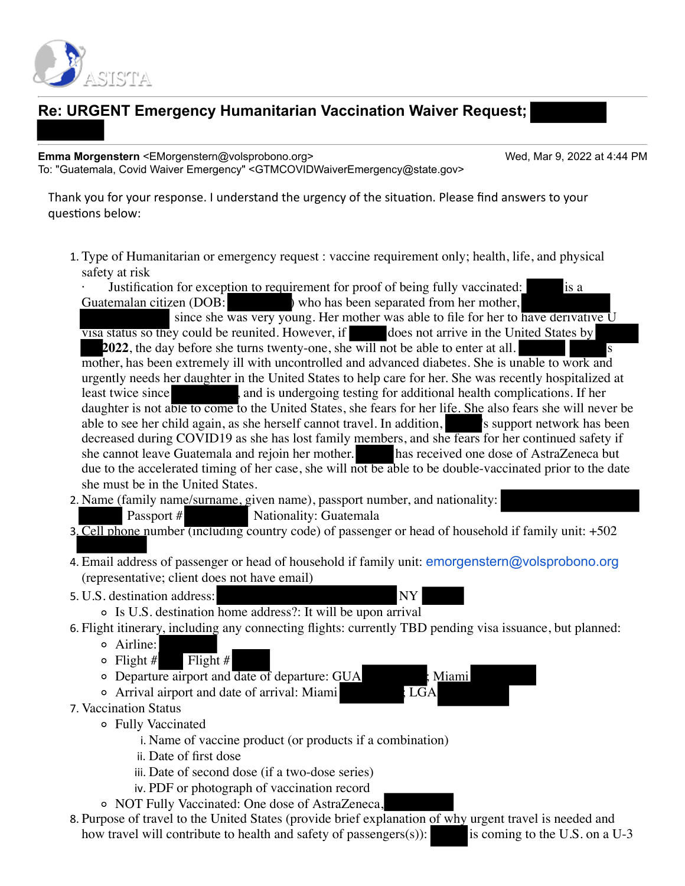

# **Re: URGENT Emergency Humanitarian Vaccination Waiver Request;**

**Emma Morgenstern** <EMorgenstern@volsprobono.org> Wed, Mar 9, 2022 at 4:44 PM To: "Guatemala, Covid Waiver Emergency" <GTMCOVIDWaiverEmergency@state.gov>

Thank you for your response. I understand the urgency of the situation. Please find answers to your questions below:

1. Type of Humanitarian or emergency request : vaccine requirement only; health, life, and physical safety at risk

Justification for exception to requirement for proof of being fully vaccinated: is a Guatemalan citizen (DOB: ) who has been separated from her mother, since she was very young. Her mother was able to file for her to have derivative U visa status so they could be reunited. However, if does not arrive in the United States by **2022**, the day before she turns twenty-one, she will not be able to enter at all. mother, has been extremely ill with uncontrolled and advanced diabetes. She is unable to work and urgently needs her daughter in the United States to help care for her. She was recently hospitalized at least twice since , and is undergoing testing for additional health complications. If her daughter is not able to come to the United States, she fears for her life. She also fears she will never be able to see her child again, as she herself cannot travel. In addition, so all is support network has been decreased during COVID19 as she has lost family members, and she fears for her continued safety if she cannot leave Guatemala and rejoin her mother. has received one dose of AstraZeneca but due to the accelerated timing of her case, she will not be able to be double-vaccinated prior to the date she must be in the United States.

- 2. Name (family name/surname, given name), passport number, and nationality:
	- Passport # Nationality: Guatemala
- 3. Cell phone number (including country code) of passenger or head of household if family unit: +502
- 4. Email address of passenger or head of household if family unit: [emorgenstern@volsprobono.org](mailto:emorgenstern@volsprobono.org) (representative; client does not have email)
- 5. U.S. destination address:



- Is U.S. destination home address?: It will be upon arrival
- 6. Flight itinerary, including any connecting flights: currently TBD pending visa issuance, but planned:
	- Airline:
	- $\circ$  Flight # Flight #
	- Departure airport and date of departure: GUA ; Miami
	- $\circ$  Arrival airport and date of arrival: Miami
- 7. Vaccination Status
	- Fully Vaccinated
		- i. Name of vaccine product (or products if a combination)
		- ii. Date of first dose
		- iii. Date of second dose (if a two-dose series)
		- iv. PDF or photograph of vaccination record
	- NOT Fully Vaccinated: One dose of AstraZeneca,
- 8. Purpose of travel to the United States (provide brief explanation of why urgent travel is needed and how travel will contribute to health and safety of passengers(s)): is coming to the U.S. on a U-3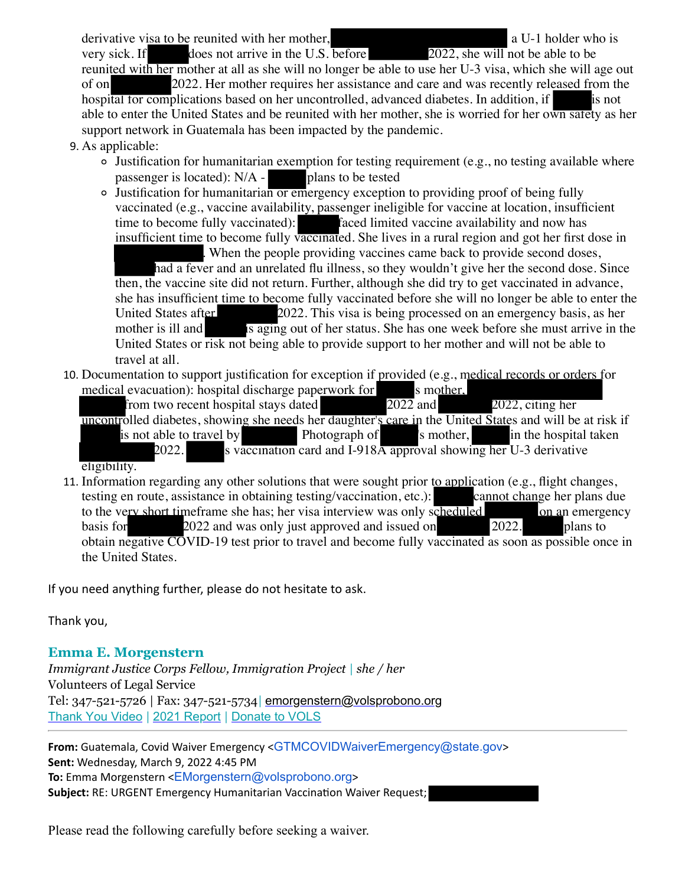derivative visa to be reunited with her mother, a unital value of a U-1 holder who is

very sick. If does not arrive in the U.S. before  $2022$ , she will not be able to be reunited with her mother at all as she will no longer be able to use her U-3 visa, which she will age out of on 2022. Her mother requires her assistance and care and was recently released from the hospital for complications based on her uncontrolled, advanced diabetes. In addition, if hospital for complications based on her uncontrolled, advanced diabetes. In addition, if able to enter the United States and be reunited with her mother, she is worried for her own safety as her support network in Guatemala has been impacted by the pandemic.

- 9. As applicable:
	- Justification for humanitarian exemption for testing requirement (e.g., no testing available where passenger is located):  $N/A -$  plans to be tested
	- Justification for humanitarian or emergency exception to providing proof of being fully vaccinated (e.g., vaccine availability, passenger ineligible for vaccine at location, insufficient time to become fully vaccinated): faced limited vaccine availability and now has insufficient time to become fully vaccinated. She lives in a rural region and got her first dose in

. When the people providing vaccines came back to provide second doses, had a fever and an unrelated flu illness, so they wouldn't give her the second dose. Since then, the vaccine site did not return. Further, although she did try to get vaccinated in advance, she has insufficient time to become fully vaccinated before she will no longer be able to enter the United States after 2022. This visa is being processed on an emergency basis, as her 2022. This visa is being processed on an emergency basis, as her mother is ill and is aging out of her status. She has one week before she must arrive in the United States or risk not being able to provide support to her mother and will not be able to travel at all.

10. Documentation to support justification for exception if provided (e.g., medical records or orders for medical evacuation): hospital discharge paperwork for s mother,<br>from two recent hospital stays dated 2022 and

from two recent hospital stays dated 2022 and 2022, citing her uncontrolled diabetes, showing she needs her daughter's care in the United States and will be at risk if is not able to travel by **Photograph of**  $\frac{1}{2022}$ ,  $\frac{1}{2022}$ ,  $\frac{1}{2022}$  is watcomation card and I-918A approval showing her U-3 derivative s vaccination card and I-918A approval showing her U-3 derivative

eligibility.

11. Information regarding any other solutions that were sought prior to application (e.g., flight changes, testing en route, assistance in obtaining testing/vaccination, etc.): cannot change her plans due to the very short timeframe she has; her visa interview was only scheduled on an emergency basis for 2022 and was only just approved and issued on 2022. plans to obtain negative COVID-19 test prior to travel and become fully vaccinated as soon as possible once in the United States.

If you need anything further, please do not hesitate to ask.

Thank you,

#### **Emma E. Morgenstern**

*Immigrant Justice Corps Fellow, Immigration Project | she / her* Volunteers of Legal Service Tel: 347-521-5726 | Fax: 347-521-5734*|* [emorgenstern@volsprobono.org](mailto:emorgenstern@volsprobono.org) Thank [You Video](https://www.volsprobono.org/thankyou) *|* 2021 [Report](https://www.volsprobono.org/2021report) *|* Donate [to VOLS](https://www.volsprobono.org/donate)

**From:** Guatemala, Covid Waiver Emergency <[GTMCOVIDWaiverEmergency@state.gov](mailto:GTMCOVIDWaiverEmergency@state.gov)> **Sent:** Wednesday, March 9, 2022 4:45 PM **To:** Emma Morgenstern <[EMorgenstern@volsprobono.org](mailto:EMorgenstern@volsprobono.org)> **Subject:** RE: URGENT Emergency Humanitarian Vaccination Waiver Request;

Please read the following carefully before seeking a waiver.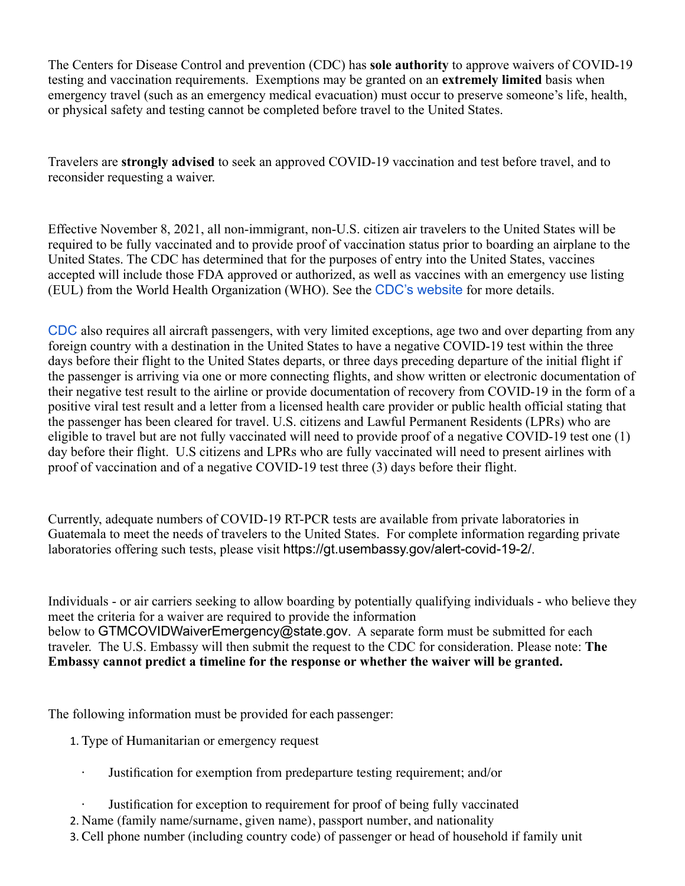The Centers for Disease Control and prevention (CDC) has **sole authority** to approve waivers of COVID-19 testing and vaccination requirements. Exemptions may be granted on an **extremely limited** basis when emergency travel (such as an emergency medical evacuation) must occur to preserve someone's life, health, or physical safety and testing cannot be completed before travel to the United States.

Travelers are **strongly advised** to seek an approved COVID-19 vaccination and test before travel, and to reconsider requesting a waiver.

Effective November 8, 2021, all non-immigrant, non-U.S. citizen air travelers to the United States will be required to be fully vaccinated and to provide proof of vaccination status prior to boarding an airplane to the United States. The CDC has determined that for the purposes of entry into the United States, vaccines accepted will include those FDA approved or authorized, as well as vaccines with an emergency use listing (EUL) from the World Health Organization (WHO). See the CDC's [website](https://www.cdc.gov/coronavirus/2019-ncov/travelers/international-travel/) for more details.

[CDC](https://www.cdc.gov/quarantine/fr-proof-negative-test.html) also requires all aircraft passengers, with very limited exceptions, age two and over departing from any foreign country with a destination in the United States to have a negative COVID-19 test within the three days before their flight to the United States departs, or three days preceding departure of the initial flight if the passenger is arriving via one or more connecting flights, and show written or electronic documentation of their negative test result to the airline or provide documentation of recovery from COVID-19 in the form of a positive viral test result and a letter from a licensed health care provider or public health official stating that the passenger has been cleared for travel. U.S. citizens and Lawful Permanent Residents (LPRs) who are eligible to travel but are not fully vaccinated will need to provide proof of a negative COVID-19 test one (1) day before their flight. U.S citizens and LPRs who are fully vaccinated will need to present airlines with proof of vaccination and of a negative COVID-19 test three (3) days before their flight.

Currently, adequate numbers of COVID-19 RT-PCR tests are available from private laboratories in Guatemala to meet the needs of travelers to the United States. For complete information regarding private laboratories offering such tests, please visit [https://gt.usembassy.gov/alert-covid-19-2/](https://gcc02.safelinks.protection.outlook.com/?url=https%3A%2F%2Fgt.usembassy.gov%2Falert-covid-19-2%2F&data=04%7C01%7CGTMCOVIDWaiverEmergency%40state.gov%7C6418ed962a26467f979c08d9aa9863c6%7C66cf50745afe48d1a691a12b2121f44b%7C0%7C0%7C637728393747045122%7CUnknown%7CTWFpbGZsb3d8eyJWIjoiMC4wLjAwMDAiLCJQIjoiV2luMzIiLCJBTiI6Ik1haWwiLCJXVCI6Mn0%3D%7C3000&sdata=rb0VHDqbsAljQ0fwPNJJXYEV3upnjmDTcj3e1dRWgWk%3D&reserved=0).

Individuals - or air carriers seeking to allow boarding by potentially qualifying individuals - who believe they meet the criteria for a waiver are required to provide the information below to [GTMCOVIDWaiverEmergency@state.gov](mailto:GTMCOVIDWaiverEmergency@state.gov). A separate form must be submitted for each traveler. The U.S. Embassy will then submit the request to the CDC for consideration. Please note: **The Embassy cannot predict a timeline for the response or whether the waiver will be granted.**

The following information must be provided for each passenger:

- 1. Type of Humanitarian or emergency request
	- Justification for exemption from predeparture testing requirement; and/or
	- Justification for exception to requirement for proof of being fully vaccinated
- 2. Name (family name/surname, given name), passport number, and nationality
- 3. Cell phone number (including country code) of passenger or head of household if family unit